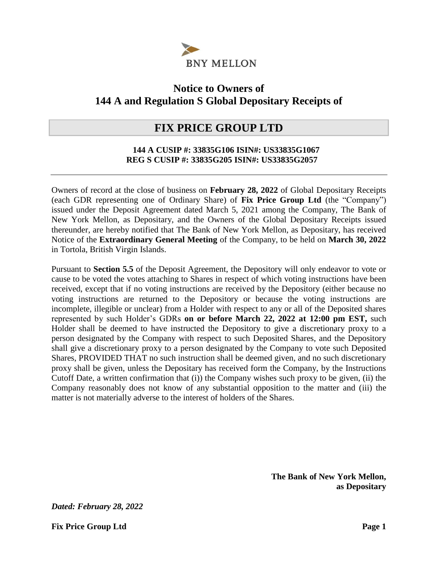

## **Notice to Owners of 144 A and Regulation S Global Depositary Receipts of**

### **FIX PRICE GROUP LTD**

#### **144 A CUSIP #: 33835G106 ISIN#: US33835G1067 REG S CUSIP #: 33835G205 ISIN#: US33835G2057**

Owners of record at the close of business on **February 28, 2022** of Global Depositary Receipts (each GDR representing one of Ordinary Share) of **Fix Price Group Ltd** (the "Company") issued under the Deposit Agreement dated March 5, 2021 among the Company, The Bank of New York Mellon, as Depositary, and the Owners of the Global Depositary Receipts issued thereunder, are hereby notified that The Bank of New York Mellon, as Depositary, has received Notice of the **Extraordinary General Meeting** of the Company, to be held on **March 30, 2022**  in Tortola, British Virgin Islands.

Pursuant to **Section 5.5** of the Deposit Agreement, the Depository will only endeavor to vote or cause to be voted the votes attaching to Shares in respect of which voting instructions have been received, except that if no voting instructions are received by the Depository (either because no voting instructions are returned to the Depository or because the voting instructions are incomplete, illegible or unclear) from a Holder with respect to any or all of the Deposited shares represented by such Holder's GDRs **on or before March 22, 2022 at 12:00 pm EST,** such Holder shall be deemed to have instructed the Depository to give a discretionary proxy to a person designated by the Company with respect to such Deposited Shares, and the Depository shall give a discretionary proxy to a person designated by the Company to vote such Deposited Shares, PROVIDED THAT no such instruction shall be deemed given, and no such discretionary proxy shall be given, unless the Depositary has received form the Company, by the Instructions Cutoff Date, a written confirmation that (i)) the Company wishes such proxy to be given, (ii) the Company reasonably does not know of any substantial opposition to the matter and (iii) the matter is not materially adverse to the interest of holders of the Shares.

> **The Bank of New York Mellon, as Depositary**

*Dated: February 28, 2022*

**Fix Price Group Ltd Page 1**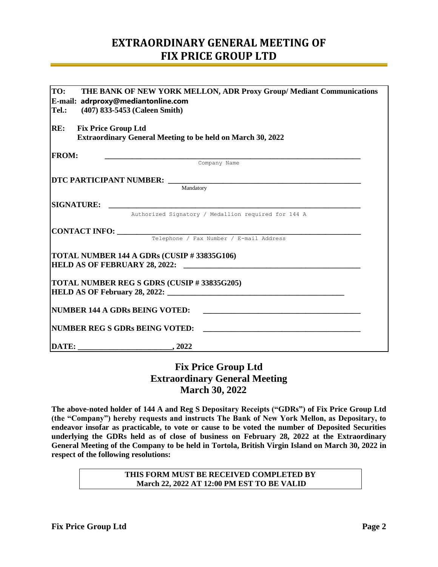## **EXTRAORDINARY GENERAL MEETING OF FIX PRICE GROUP LTD**

| TO:<br>THE BANK OF NEW YORK MELLON, ADR Proxy Group/ Mediant Communications<br>E-mail: adrproxy@mediantonline.com |                                                                                                                                                          |  |  |  |  |
|-------------------------------------------------------------------------------------------------------------------|----------------------------------------------------------------------------------------------------------------------------------------------------------|--|--|--|--|
| Tel.:                                                                                                             | (407) 833-5453 (Caleen Smith)                                                                                                                            |  |  |  |  |
| RE:                                                                                                               | <b>Fix Price Group Ltd</b><br><b>Extraordinary General Meeting to be held on March 30, 2022</b>                                                          |  |  |  |  |
| <b>FROM:</b>                                                                                                      |                                                                                                                                                          |  |  |  |  |
|                                                                                                                   | <b>Company Name</b>                                                                                                                                      |  |  |  |  |
|                                                                                                                   |                                                                                                                                                          |  |  |  |  |
|                                                                                                                   | Mandatory                                                                                                                                                |  |  |  |  |
|                                                                                                                   |                                                                                                                                                          |  |  |  |  |
|                                                                                                                   | Authorized Signatory / Medallion required for 144 A                                                                                                      |  |  |  |  |
|                                                                                                                   |                                                                                                                                                          |  |  |  |  |
|                                                                                                                   | <b>CONTACT INFO:</b> Telephone / Fax Number / E-mail Address                                                                                             |  |  |  |  |
|                                                                                                                   | TOTAL NUMBER 144 A GDRs (CUSIP # 33835G106)                                                                                                              |  |  |  |  |
|                                                                                                                   | TOTAL NUMBER REG S GDRS (CUSIP # 33835G205)                                                                                                              |  |  |  |  |
|                                                                                                                   | NUMBER 144 A GDRs BEING VOTED:<br><u> 1980 - Johann Johann Harry Harry Harry Harry Harry Harry Harry Harry Harry Harry Harry Harry Harry Harry Harry</u> |  |  |  |  |
|                                                                                                                   | NUMBER REG S GDRs BEING VOTED:                                                                                                                           |  |  |  |  |
|                                                                                                                   |                                                                                                                                                          |  |  |  |  |

### **Fix Price Group Ltd Extraordinary General Meeting March 30, 2022**

**The above-noted holder of 144 A and Reg S Depositary Receipts ("GDRs") of Fix Price Group Ltd (the "Company") hereby requests and instructs The Bank of New York Mellon, as Depositary, to endeavor insofar as practicable, to vote or cause to be voted the number of Deposited Securities underlying the GDRs held as of close of business on February 28, 2022 at the Extraordinary General Meeting of the Company to be held in Tortola, British Virgin Island on March 30, 2022 in respect of the following resolutions:** 

> **THIS FORM MUST BE RECEIVED COMPLETED BY March 22, 2022 AT 12:00 PM EST TO BE VALID**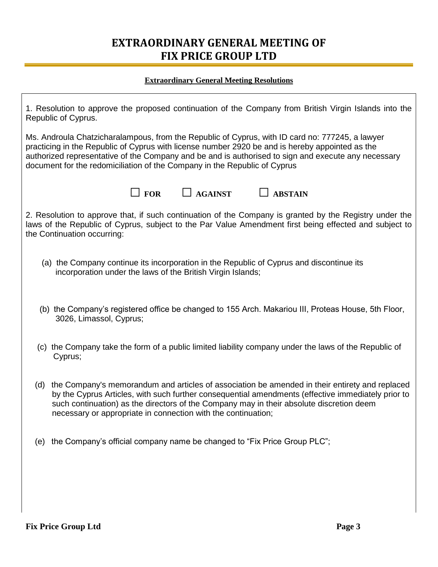# **EXTRAORDINARY GENERAL MEETING OF FIX PRICE GROUP LTD**

#### **Extraordinary General Meeting Resolutions**

| 1. Resolution to approve the proposed continuation of the Company from British Virgin Islands into the<br>Republic of Cyprus.                                                                                                                                                                                                                                                          |  |  |  |  |
|----------------------------------------------------------------------------------------------------------------------------------------------------------------------------------------------------------------------------------------------------------------------------------------------------------------------------------------------------------------------------------------|--|--|--|--|
| Ms. Androula Chatzicharalampous, from the Republic of Cyprus, with ID card no: 777245, a lawyer<br>practicing in the Republic of Cyprus with license number 2920 be and is hereby appointed as the<br>authorized representative of the Company and be and is authorised to sign and execute any necessary<br>document for the redomiciliation of the Company in the Republic of Cyprus |  |  |  |  |
| $\Box$ FOR<br><b>AGAINST</b><br><b>ABSTAIN</b>                                                                                                                                                                                                                                                                                                                                         |  |  |  |  |
| 2. Resolution to approve that, if such continuation of the Company is granted by the Registry under the<br>laws of the Republic of Cyprus, subject to the Par Value Amendment first being effected and subject to<br>the Continuation occurring:                                                                                                                                       |  |  |  |  |
| (a) the Company continue its incorporation in the Republic of Cyprus and discontinue its<br>incorporation under the laws of the British Virgin Islands;                                                                                                                                                                                                                                |  |  |  |  |
| (b) the Company's registered office be changed to 155 Arch. Makariou III, Proteas House, 5th Floor,<br>3026, Limassol, Cyprus;                                                                                                                                                                                                                                                         |  |  |  |  |
| (c) the Company take the form of a public limited liability company under the laws of the Republic of<br>Cyprus;                                                                                                                                                                                                                                                                       |  |  |  |  |
| the Company's memorandum and articles of association be amended in their entirety and replaced<br>(d)<br>by the Cyprus Articles, with such further consequential amendments (effective immediately prior to<br>such continuation) as the directors of the Company may in their absolute discretion deem<br>necessary or appropriate in connection with the continuation;               |  |  |  |  |
| the Company's official company name be changed to "Fix Price Group PLC";<br>(e)                                                                                                                                                                                                                                                                                                        |  |  |  |  |
|                                                                                                                                                                                                                                                                                                                                                                                        |  |  |  |  |